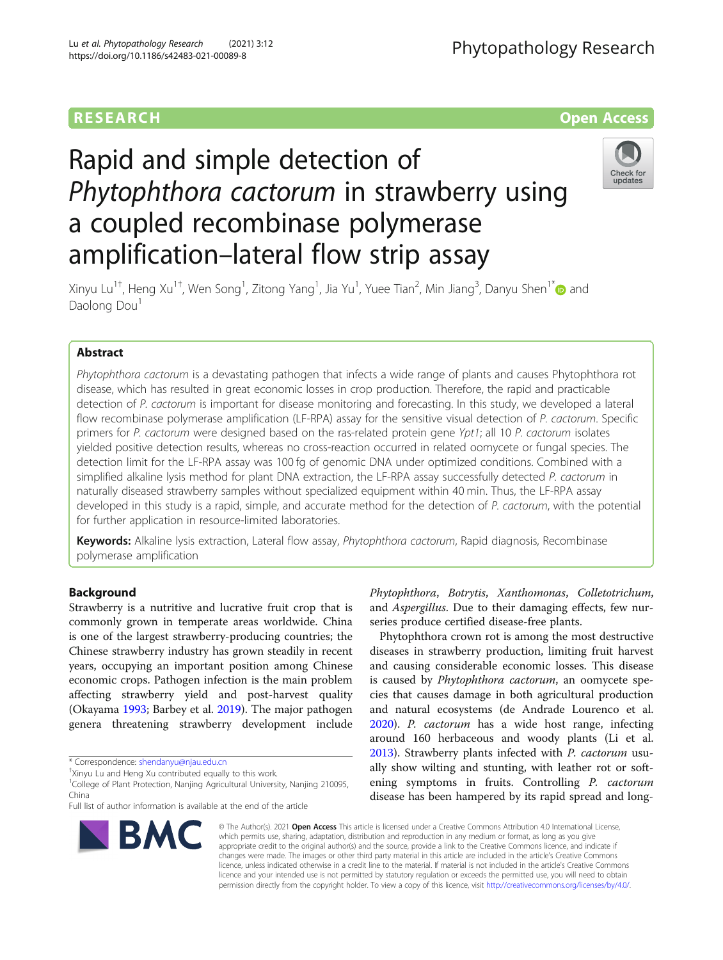## **RESEARCH CHE Open Access**

# Rapid and simple detection of Phytophthora cactorum in strawberry using a coupled recombinase polymerase amplification–lateral flow strip assay



Xinyu Lu<sup>1†</sup>, Heng Xu<sup>1†</sup>, Wen Song<sup>1</sup>, Zitong Yang<sup>1</sup>, Jia Yu<sup>1</sup>, Yuee Tian<sup>2</sup>, Min Jiang<sup>3</sup>, Danyu Shen<sup>1\*</sup>@ and Daolong Dou<sup>1</sup>

### Abstract

Phytophthora cactorum is a devastating pathogen that infects a wide range of plants and causes Phytophthora rot disease, which has resulted in great economic losses in crop production. Therefore, the rapid and practicable detection of P. cactorum is important for disease monitoring and forecasting. In this study, we developed a lateral flow recombinase polymerase amplification (LF-RPA) assay for the sensitive visual detection of P. cactorum. Specific primers for P. cactorum were designed based on the ras-related protein gene Ypt1; all 10 P. cactorum isolates yielded positive detection results, whereas no cross-reaction occurred in related oomycete or fungal species. The detection limit for the LF-RPA assay was 100 fg of genomic DNA under optimized conditions. Combined with a simplified alkaline lysis method for plant DNA extraction, the LF-RPA assay successfully detected P. cactorum in naturally diseased strawberry samples without specialized equipment within 40 min. Thus, the LF-RPA assay developed in this study is a rapid, simple, and accurate method for the detection of P. cactorum, with the potential for further application in resource-limited laboratories.

Keywords: Alkaline lysis extraction, Lateral flow assay, Phytophthora cactorum, Rapid diagnosis, Recombinase polymerase amplification

#### Background

Strawberry is a nutritive and lucrative fruit crop that is commonly grown in temperate areas worldwide. China is one of the largest strawberry-producing countries; the Chinese strawberry industry has grown steadily in recent years, occupying an important position among Chinese economic crops. Pathogen infection is the main problem affecting strawberry yield and post-harvest quality (Okayama [1993;](#page-7-0) Barbey et al. [2019\)](#page-6-0). The major pathogen genera threatening strawberry development include

\* Correspondence: [shendanyu@njau.edu.cn](mailto:shendanyu@njau.edu.cn) †

<sup>1</sup>College of Plant Protection, Nanjing Agricultural University, Nanjing 210095, China

Full list of author information is available at the end of the article



Phytophthora crown rot is among the most destructive diseases in strawberry production, limiting fruit harvest and causing considerable economic losses. This disease is caused by Phytophthora cactorum, an oomycete species that causes damage in both agricultural production and natural ecosystems (de Andrade Lourenco et al. [2020](#page-7-0)). P. cactorum has a wide host range, infecting around 160 herbaceous and woody plants (Li et al. [2013](#page-7-0)). Strawberry plants infected with P. cactorum usually show wilting and stunting, with leather rot or softening symptoms in fruits. Controlling P. cactorum disease has been hampered by its rapid spread and long-



© The Author(s). 2021 Open Access This article is licensed under a Creative Commons Attribution 4.0 International License, which permits use, sharing, adaptation, distribution and reproduction in any medium or format, as long as you give appropriate credit to the original author(s) and the source, provide a link to the Creative Commons licence, and indicate if changes were made. The images or other third party material in this article are included in the article's Creative Commons licence, unless indicated otherwise in a credit line to the material. If material is not included in the article's Creative Commons licence and your intended use is not permitted by statutory regulation or exceeds the permitted use, you will need to obtain permission directly from the copyright holder. To view a copy of this licence, visit [http://creativecommons.org/licenses/by/4.0/.](http://creativecommons.org/licenses/by/4.0/)

Xinyu Lu and Heng Xu contributed equally to this work.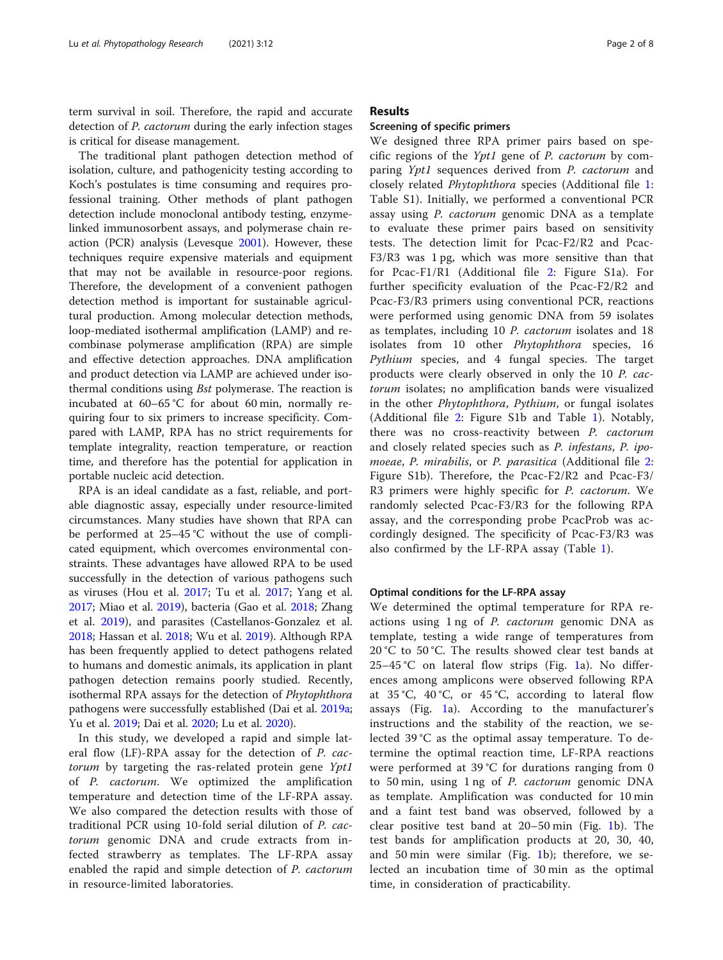term survival in soil. Therefore, the rapid and accurate detection of P. cactorum during the early infection stages is critical for disease management.

The traditional plant pathogen detection method of isolation, culture, and pathogenicity testing according to Koch's postulates is time consuming and requires professional training. Other methods of plant pathogen detection include monoclonal antibody testing, enzymelinked immunosorbent assays, and polymerase chain reaction (PCR) analysis (Levesque [2001](#page-7-0)). However, these techniques require expensive materials and equipment that may not be available in resource-poor regions. Therefore, the development of a convenient pathogen detection method is important for sustainable agricultural production. Among molecular detection methods, loop-mediated isothermal amplification (LAMP) and recombinase polymerase amplification (RPA) are simple and effective detection approaches. DNA amplification and product detection via LAMP are achieved under isothermal conditions using Bst polymerase. The reaction is incubated at 60–65 °C for about 60 min, normally requiring four to six primers to increase specificity. Compared with LAMP, RPA has no strict requirements for template integrality, reaction temperature, or reaction time, and therefore has the potential for application in portable nucleic acid detection.

RPA is an ideal candidate as a fast, reliable, and portable diagnostic assay, especially under resource-limited circumstances. Many studies have shown that RPA can be performed at 25–45 °C without the use of complicated equipment, which overcomes environmental constraints. These advantages have allowed RPA to be used successfully in the detection of various pathogens such as viruses (Hou et al. [2017](#page-7-0); Tu et al. [2017](#page-7-0); Yang et al. [2017](#page-7-0); Miao et al. [2019](#page-7-0)), bacteria (Gao et al. [2018](#page-7-0); Zhang et al. [2019\)](#page-7-0), and parasites (Castellanos-Gonzalez et al. [2018](#page-6-0); Hassan et al. [2018](#page-7-0); Wu et al. [2019](#page-7-0)). Although RPA has been frequently applied to detect pathogens related to humans and domestic animals, its application in plant pathogen detection remains poorly studied. Recently, isothermal RPA assays for the detection of Phytophthora pathogens were successfully established (Dai et al. [2019a](#page-7-0); Yu et al. [2019](#page-7-0); Dai et al. [2020;](#page-7-0) Lu et al. [2020\)](#page-7-0).

In this study, we developed a rapid and simple lateral flow (LF)-RPA assay for the detection of P. cactorum by targeting the ras-related protein gene Ypt1 of P. cactorum. We optimized the amplification temperature and detection time of the LF-RPA assay. We also compared the detection results with those of traditional PCR using 10-fold serial dilution of P. cactorum genomic DNA and crude extracts from infected strawberry as templates. The LF-RPA assay enabled the rapid and simple detection of P. cactorum in resource-limited laboratories.

#### Results

#### Screening of specific primers

We designed three RPA primer pairs based on specific regions of the Ypt1 gene of P. cactorum by comparing Ypt1 sequences derived from P. cactorum and closely related Phytophthora species (Additional file [1](#page-6-0): Table S1). Initially, we performed a conventional PCR assay using P. cactorum genomic DNA as a template to evaluate these primer pairs based on sensitivity tests. The detection limit for Pcac-F2/R2 and Pcac-F3/R3 was 1 pg, which was more sensitive than that for Pcac-F1/R1 (Additional file [2:](#page-6-0) Figure S1a). For further specificity evaluation of the Pcac-F2/R2 and Pcac-F3/R3 primers using conventional PCR, reactions were performed using genomic DNA from 59 isolates as templates, including 10 P. cactorum isolates and 18 isolates from 10 other Phytophthora species, 16 Pythium species, and 4 fungal species. The target products were clearly observed in only the 10 P. cactorum isolates; no amplification bands were visualized in the other Phytophthora, Pythium, or fungal isolates (Additional file [2:](#page-6-0) Figure S1b and Table [1\)](#page-2-0). Notably, there was no cross-reactivity between P. cactorum and closely related species such as P. infestans, P. ipo-moeae, P. mirabilis, or P. parasitica (Additional file [2](#page-6-0): Figure S1b). Therefore, the Pcac-F2/R2 and Pcac-F3/ R3 primers were highly specific for P. cactorum. We randomly selected Pcac-F3/R3 for the following RPA assay, and the corresponding probe PcacProb was accordingly designed. The specificity of Pcac-F3/R3 was also confirmed by the LF-RPA assay (Table [1](#page-2-0)).

#### Optimal conditions for the LF-RPA assay

We determined the optimal temperature for RPA reactions using 1 ng of P. cactorum genomic DNA as template, testing a wide range of temperatures from 20 °C to 50 °C. The results showed clear test bands at 25–45 °C on lateral flow strips (Fig. [1](#page-2-0)a). No differences among amplicons were observed following RPA at 35 °C, 40 °C, or 45 °C, according to lateral flow assays (Fig. [1](#page-2-0)a). According to the manufacturer's instructions and the stability of the reaction, we selected 39 °C as the optimal assay temperature. To determine the optimal reaction time, LF-RPA reactions were performed at 39 °C for durations ranging from 0 to 50 min, using 1 ng of P. cactorum genomic DNA as template. Amplification was conducted for 10 min and a faint test band was observed, followed by a clear positive test band at 20–50 min (Fig. [1b](#page-2-0)). The test bands for amplification products at 20, 30, 40, and 50 min were similar (Fig. [1b](#page-2-0)); therefore, we selected an incubation time of 30 min as the optimal time, in consideration of practicability.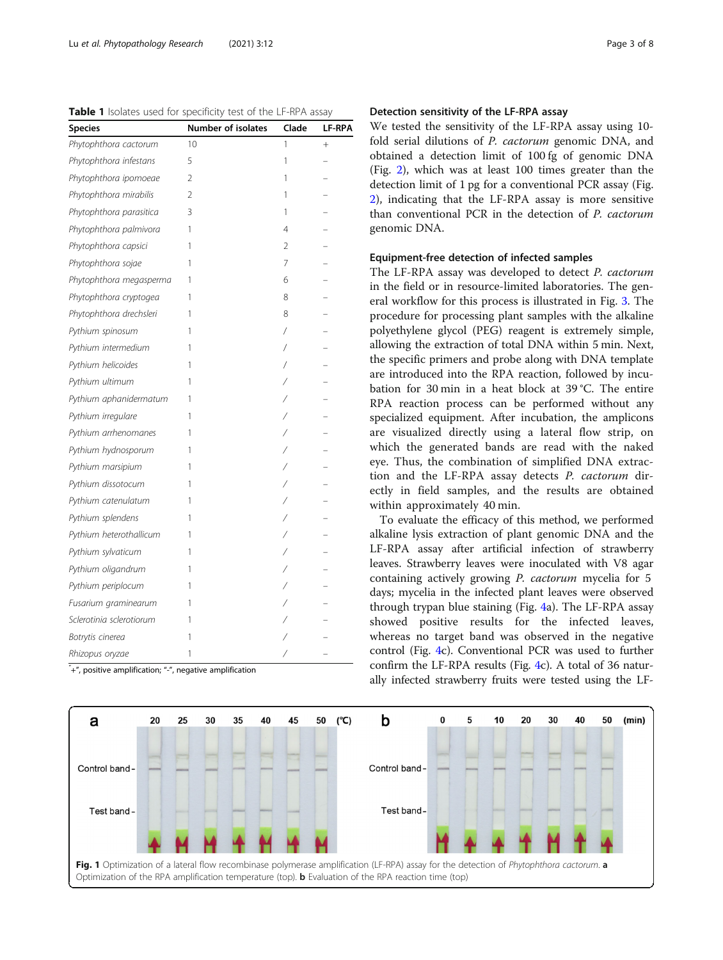<span id="page-2-0"></span>

| Table 1 Isolates used for specificity test of the LF-RPA assay |  |
|----------------------------------------------------------------|--|
|----------------------------------------------------------------|--|

| Species                  | Number of isolates | Clade | LF-RPA |
|--------------------------|--------------------|-------|--------|
| Phytophthora cactorum    | 10                 | 1     | $^{+}$ |
| Phytophthora infestans   | 5                  | 1     |        |
| Phytophthora ipomoeae    | 2                  | 1     |        |
| Phytophthora mirabilis   | $\mathfrak{D}$     | 1     |        |
| Phytophthora parasitica  | 3                  | 1     |        |
| Phytophthora palmivora   | 1                  | 4     |        |
| Phytophthora capsici     | 1                  | 2     |        |
| Phytophthora sojae       | 1                  | 7     |        |
| Phytophthora megasperma  | 1                  | 6     |        |
| Phytophthora cryptogea   | 1                  | 8     |        |
| Phytophthora drechsleri  | 1                  | 8     |        |
| Pythium spinosum         | 1                  | 7     |        |
| Pythium intermedium      | 1                  | Γ     |        |
| Pythium helicoides       | 1                  |       |        |
| Pythium ultimum          | 1                  |       |        |
| Pythium aphanidermatum   | 1                  |       |        |
| Pythium irregulare       | 1                  |       |        |
| Pythium arrhenomanes     | 1                  |       |        |
| Pythium hydnosporum      | 1                  |       |        |
| Pythium marsipium        | 1                  |       |        |
| Pythium dissotocum       | 1                  |       |        |
| Pythium catenulatum      | 1                  |       |        |
| Pythium splendens        | 1                  |       |        |
| Pythium heterothallicum  | 1                  |       |        |
| Pythium sylvaticum       | 1                  |       |        |
| Pythium oligandrum       | 1                  |       |        |
| Pythium periplocum       | 1                  |       |        |
| Fusarium graminearum     | 1                  |       |        |
| Sclerotinia sclerotiorum | 1                  |       |        |
| Botrytis cinerea         | 1                  |       |        |
| Rhizopus oryzae          | 1                  |       |        |

" +", positive amplification; "-", negative amplification

#### Detection sensitivity of the LF-RPA assay

We tested the sensitivity of the LF-RPA assay using 10 fold serial dilutions of P. cactorum genomic DNA, and obtained a detection limit of 100 fg of genomic DNA (Fig. [2\)](#page-3-0), which was at least 100 times greater than the detection limit of 1 pg for a conventional PCR assay (Fig. [2\)](#page-3-0), indicating that the LF-RPA assay is more sensitive than conventional PCR in the detection of P. cactorum genomic DNA.

#### Equipment-free detection of infected samples

The LF-RPA assay was developed to detect P. cactorum in the field or in resource-limited laboratories. The general workflow for this process is illustrated in Fig. [3](#page-3-0). The procedure for processing plant samples with the alkaline polyethylene glycol (PEG) reagent is extremely simple, allowing the extraction of total DNA within 5 min. Next, the specific primers and probe along with DNA template are introduced into the RPA reaction, followed by incubation for 30 min in a heat block at 39 °C. The entire RPA reaction process can be performed without any specialized equipment. After incubation, the amplicons are visualized directly using a lateral flow strip, on which the generated bands are read with the naked eye. Thus, the combination of simplified DNA extraction and the LF-RPA assay detects P. cactorum directly in field samples, and the results are obtained within approximately 40 min.

To evaluate the efficacy of this method, we performed alkaline lysis extraction of plant genomic DNA and the LF-RPA assay after artificial infection of strawberry leaves. Strawberry leaves were inoculated with V8 agar containing actively growing P. cactorum mycelia for 5 days; mycelia in the infected plant leaves were observed through trypan blue staining (Fig. [4](#page-4-0)a). The LF-RPA assay showed positive results for the infected leaves, whereas no target band was observed in the negative control (Fig. [4c](#page-4-0)). Conventional PCR was used to further confirm the LF-RPA results (Fig. [4](#page-4-0)c). A total of 36 naturally infected strawberry fruits were tested using the LF-

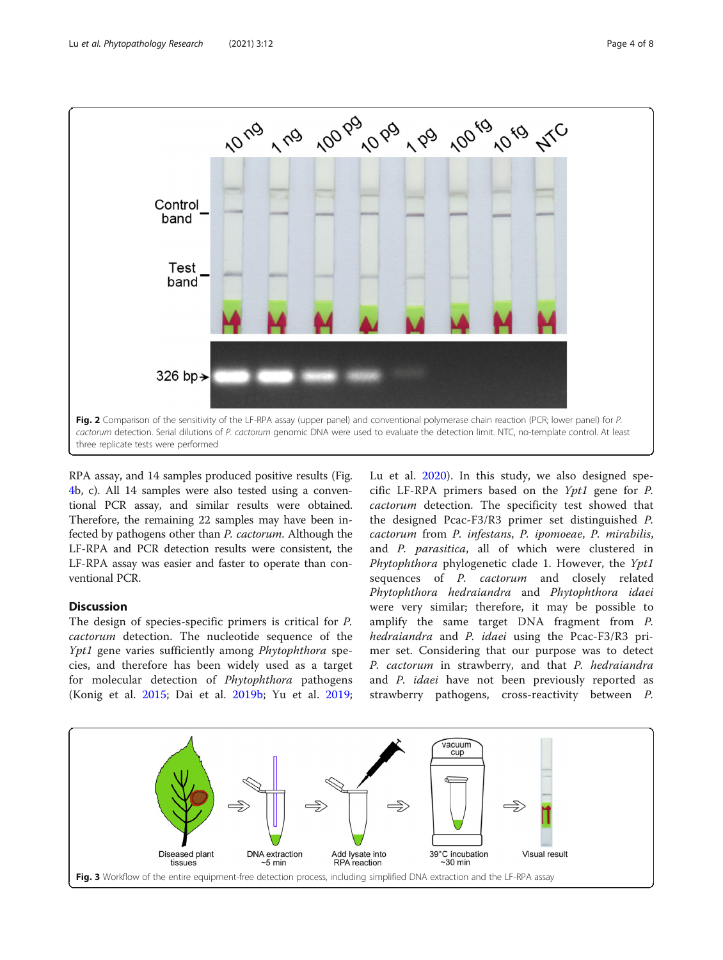<span id="page-3-0"></span>

RPA assay, and 14 samples produced positive results (Fig. [4b](#page-4-0), c). All 14 samples were also tested using a conventional PCR assay, and similar results were obtained. Therefore, the remaining 22 samples may have been infected by pathogens other than P. cactorum. Although the LF-RPA and PCR detection results were consistent, the LF-RPA assay was easier and faster to operate than conventional PCR.

#### **Discussion**

The design of species-specific primers is critical for P. cactorum detection. The nucleotide sequence of the Ypt1 gene varies sufficiently among Phytophthora species, and therefore has been widely used as a target for molecular detection of Phytophthora pathogens (Konig et al. [2015](#page-7-0); Dai et al. [2019b;](#page-6-0) Yu et al. [2019](#page-7-0); Lu et al. [2020\)](#page-7-0). In this study, we also designed specific LF-RPA primers based on the Ypt1 gene for P. cactorum detection. The specificity test showed that the designed Pcac-F3/R3 primer set distinguished P. cactorum from P. infestans, P. ipomoeae, P. mirabilis, and P. parasitica, all of which were clustered in Phytophthora phylogenetic clade 1. However, the Ypt1 sequences of *P. cactorum* and closely related Phytophthora hedraiandra and Phytophthora idaei were very similar; therefore, it may be possible to amplify the same target DNA fragment from P. hedraiandra and P. idaei using the Pcac-F3/R3 primer set. Considering that our purpose was to detect P. cactorum in strawberry, and that P. hedraiandra and P. idaei have not been previously reported as strawberry pathogens, cross-reactivity between P.

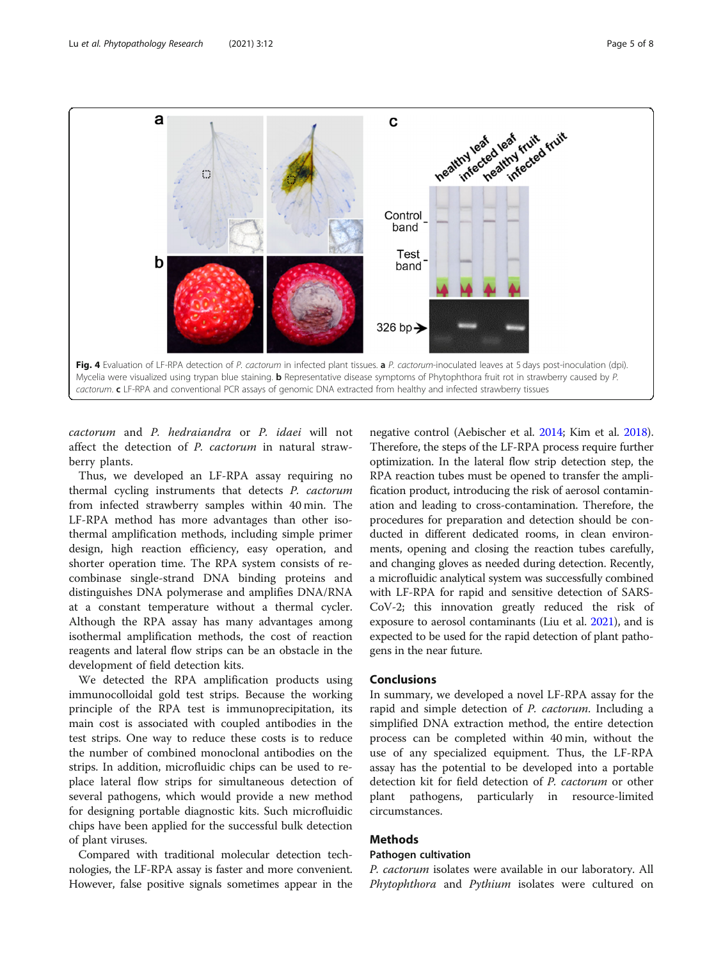<span id="page-4-0"></span>

cactorum and P. hedraiandra or P. idaei will not affect the detection of P. cactorum in natural strawberry plants.

Thus, we developed an LF-RPA assay requiring no thermal cycling instruments that detects P. cactorum from infected strawberry samples within 40 min. The LF-RPA method has more advantages than other isothermal amplification methods, including simple primer design, high reaction efficiency, easy operation, and shorter operation time. The RPA system consists of recombinase single-strand DNA binding proteins and distinguishes DNA polymerase and amplifies DNA/RNA at a constant temperature without a thermal cycler. Although the RPA assay has many advantages among isothermal amplification methods, the cost of reaction reagents and lateral flow strips can be an obstacle in the development of field detection kits.

We detected the RPA amplification products using immunocolloidal gold test strips. Because the working principle of the RPA test is immunoprecipitation, its main cost is associated with coupled antibodies in the test strips. One way to reduce these costs is to reduce the number of combined monoclonal antibodies on the strips. In addition, microfluidic chips can be used to replace lateral flow strips for simultaneous detection of several pathogens, which would provide a new method for designing portable diagnostic kits. Such microfluidic chips have been applied for the successful bulk detection of plant viruses.

Compared with traditional molecular detection technologies, the LF-RPA assay is faster and more convenient. However, false positive signals sometimes appear in the

negative control (Aebischer et al. [2014;](#page-6-0) Kim et al. [2018](#page-7-0)). Therefore, the steps of the LF-RPA process require further optimization. In the lateral flow strip detection step, the RPA reaction tubes must be opened to transfer the amplification product, introducing the risk of aerosol contamination and leading to cross-contamination. Therefore, the procedures for preparation and detection should be conducted in different dedicated rooms, in clean environments, opening and closing the reaction tubes carefully, and changing gloves as needed during detection. Recently, a microfluidic analytical system was successfully combined with LF-RPA for rapid and sensitive detection of SARS-CoV-2; this innovation greatly reduced the risk of exposure to aerosol contaminants (Liu et al. [2021\)](#page-7-0), and is expected to be used for the rapid detection of plant pathogens in the near future.

#### Conclusions

In summary, we developed a novel LF-RPA assay for the rapid and simple detection of P. cactorum. Including a simplified DNA extraction method, the entire detection process can be completed within 40 min, without the use of any specialized equipment. Thus, the LF-RPA assay has the potential to be developed into a portable detection kit for field detection of P. cactorum or other plant pathogens, particularly in resource-limited circumstances.

#### Methods

#### Pathogen cultivation

P. cactorum isolates were available in our laboratory. All Phytophthora and Pythium isolates were cultured on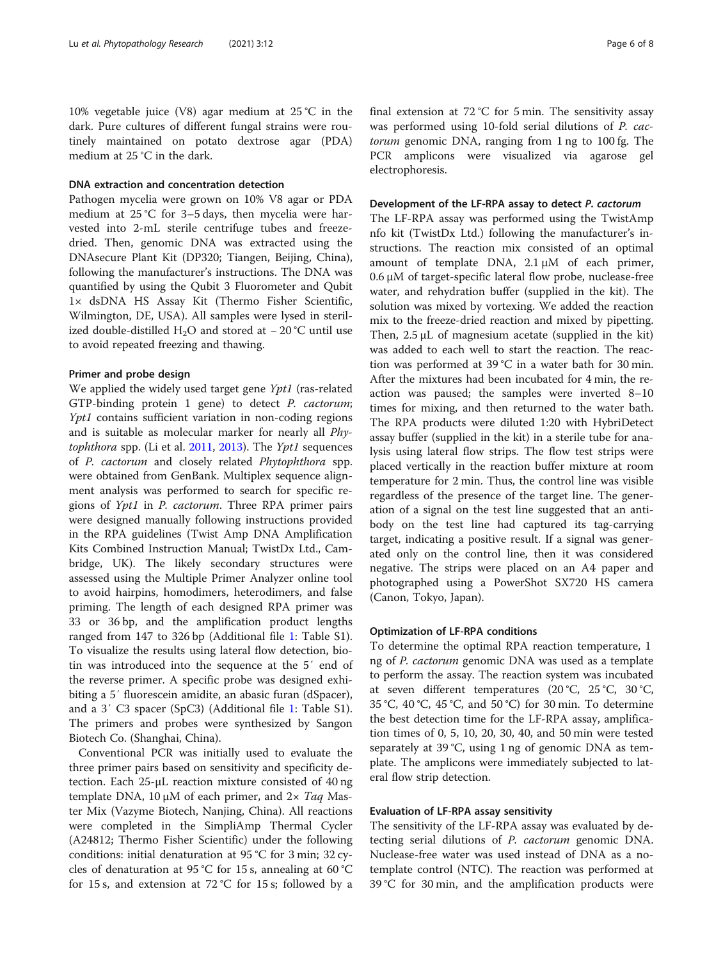10% vegetable juice (V8) agar medium at 25 °C in the dark. Pure cultures of different fungal strains were routinely maintained on potato dextrose agar (PDA) medium at 25 °C in the dark.

#### DNA extraction and concentration detection

Pathogen mycelia were grown on 10% V8 agar or PDA medium at 25 °C for 3–5 days, then mycelia were harvested into 2-mL sterile centrifuge tubes and freezedried. Then, genomic DNA was extracted using the DNAsecure Plant Kit (DP320; Tiangen, Beijing, China), following the manufacturer's instructions. The DNA was quantified by using the Qubit 3 Fluorometer and Qubit 1× dsDNA HS Assay Kit (Thermo Fisher Scientific, Wilmington, DE, USA). All samples were lysed in sterilized double-distilled H<sub>2</sub>O and stored at  $-20$  °C until use to avoid repeated freezing and thawing.

#### Primer and probe design

We applied the widely used target gene Ypt1 (ras-related GTP-binding protein 1 gene) to detect P. cactorum; Ypt1 contains sufficient variation in non-coding regions and is suitable as molecular marker for nearly all Phytophthora spp. (Li et al.  $2011$ ,  $2013$ ). The Ypt1 sequences of P. cactorum and closely related Phytophthora spp. were obtained from GenBank. Multiplex sequence alignment analysis was performed to search for specific regions of Ypt1 in P. cactorum. Three RPA primer pairs were designed manually following instructions provided in the RPA guidelines (Twist Amp DNA Amplification Kits Combined Instruction Manual; TwistDx Ltd., Cambridge, UK). The likely secondary structures were assessed using the Multiple Primer Analyzer online tool to avoid hairpins, homodimers, heterodimers, and false priming. The length of each designed RPA primer was 33 or 36 bp, and the amplification product lengths ranged from 147 to 326 bp (Additional file [1:](#page-6-0) Table S1). To visualize the results using lateral flow detection, biotin was introduced into the sequence at the 5′ end of the reverse primer. A specific probe was designed exhibiting a 5′ fluorescein amidite, an abasic furan (dSpacer), and a 3′ C3 spacer (SpC3) (Additional file [1:](#page-6-0) Table S1). The primers and probes were synthesized by Sangon Biotech Co. (Shanghai, China).

Conventional PCR was initially used to evaluate the three primer pairs based on sensitivity and specificity detection. Each 25-μL reaction mixture consisted of 40 ng template DNA, 10 μM of each primer, and  $2 \times Taq$  Master Mix (Vazyme Biotech, Nanjing, China). All reactions were completed in the SimpliAmp Thermal Cycler (A24812; Thermo Fisher Scientific) under the following conditions: initial denaturation at 95 °C for 3 min; 32 cycles of denaturation at 95 °C for 15 s, annealing at 60 °C for 15 s, and extension at  $72^{\circ}$ C for 15 s; followed by a final extension at 72 °C for 5 min. The sensitivity assay was performed using 10-fold serial dilutions of P. cactorum genomic DNA, ranging from 1 ng to 100 fg. The PCR amplicons were visualized via agarose gel electrophoresis.

#### Development of the LF-RPA assay to detect P. cactorum

The LF-RPA assay was performed using the TwistAmp nfo kit (TwistDx Ltd.) following the manufacturer's instructions. The reaction mix consisted of an optimal amount of template DNA, 2.1 μM of each primer, 0.6 μM of target-specific lateral flow probe, nuclease-free water, and rehydration buffer (supplied in the kit). The solution was mixed by vortexing. We added the reaction mix to the freeze-dried reaction and mixed by pipetting. Then, 2.5 μL of magnesium acetate (supplied in the kit) was added to each well to start the reaction. The reaction was performed at 39 °C in a water bath for 30 min. After the mixtures had been incubated for 4 min, the reaction was paused; the samples were inverted 8–10 times for mixing, and then returned to the water bath. The RPA products were diluted 1:20 with HybriDetect assay buffer (supplied in the kit) in a sterile tube for analysis using lateral flow strips. The flow test strips were placed vertically in the reaction buffer mixture at room temperature for 2 min. Thus, the control line was visible regardless of the presence of the target line. The generation of a signal on the test line suggested that an antibody on the test line had captured its tag-carrying target, indicating a positive result. If a signal was generated only on the control line, then it was considered negative. The strips were placed on an A4 paper and photographed using a PowerShot SX720 HS camera (Canon, Tokyo, Japan).

#### Optimization of LF-RPA conditions

To determine the optimal RPA reaction temperature, 1 ng of P. cactorum genomic DNA was used as a template to perform the assay. The reaction system was incubated at seven different temperatures (20 °C, 25 °C, 30 °C, 35 °C, 40 °C, 45 °C, and 50 °C) for 30 min. To determine the best detection time for the LF-RPA assay, amplification times of 0, 5, 10, 20, 30, 40, and 50 min were tested separately at 39 °C, using 1 ng of genomic DNA as template. The amplicons were immediately subjected to lateral flow strip detection.

#### Evaluation of LF-RPA assay sensitivity

The sensitivity of the LF-RPA assay was evaluated by detecting serial dilutions of P. cactorum genomic DNA. Nuclease-free water was used instead of DNA as a notemplate control (NTC). The reaction was performed at 39 °C for 30 min, and the amplification products were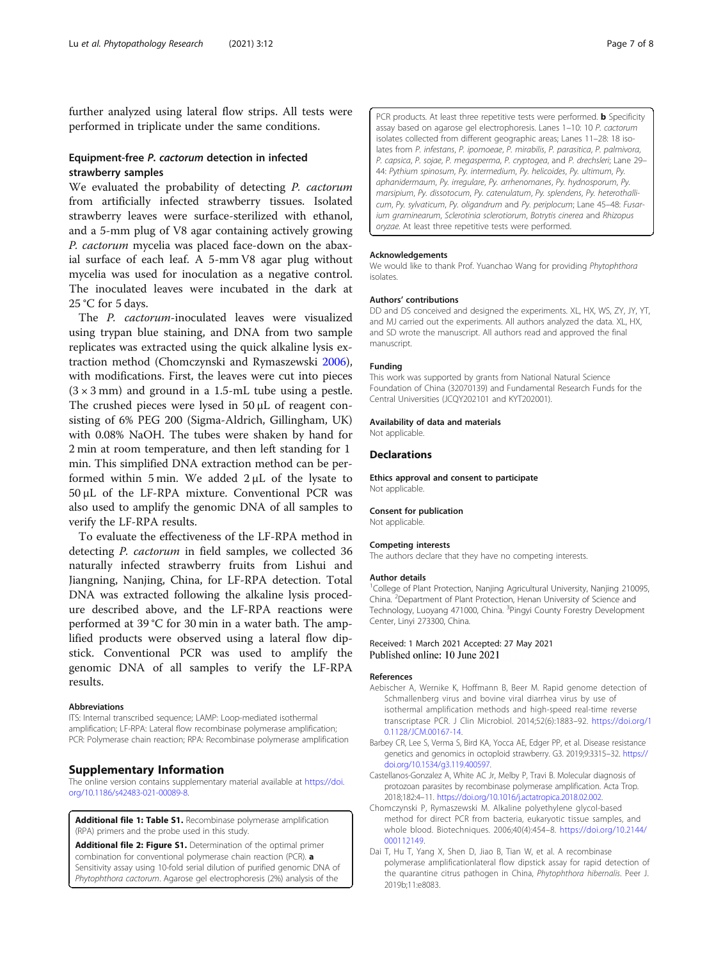<span id="page-6-0"></span>further analyzed using lateral flow strips. All tests were performed in triplicate under the same conditions.

#### Equipment-free P. cactorum detection in infected strawberry samples

We evaluated the probability of detecting *P. cactorum* from artificially infected strawberry tissues. Isolated strawberry leaves were surface-sterilized with ethanol, and a 5-mm plug of V8 agar containing actively growing P. cactorum mycelia was placed face-down on the abaxial surface of each leaf. A 5-mm V8 agar plug without mycelia was used for inoculation as a negative control. The inoculated leaves were incubated in the dark at 25 °C for 5 days.

The P. cactorum-inoculated leaves were visualized using trypan blue staining, and DNA from two sample replicates was extracted using the quick alkaline lysis extraction method (Chomczynski and Rymaszewski 2006), with modifications. First, the leaves were cut into pieces  $(3 \times 3 \text{ mm})$  and ground in a 1.5-mL tube using a pestle. The crushed pieces were lysed in 50 μL of reagent consisting of 6% PEG 200 (Sigma-Aldrich, Gillingham, UK) with 0.08% NaOH. The tubes were shaken by hand for 2 min at room temperature, and then left standing for 1 min. This simplified DNA extraction method can be performed within 5 min. We added 2 μL of the lysate to 50 μL of the LF-RPA mixture. Conventional PCR was also used to amplify the genomic DNA of all samples to verify the LF-RPA results.

To evaluate the effectiveness of the LF-RPA method in detecting P. cactorum in field samples, we collected 36 naturally infected strawberry fruits from Lishui and Jiangning, Nanjing, China, for LF-RPA detection. Total DNA was extracted following the alkaline lysis procedure described above, and the LF-RPA reactions were performed at 39 °C for 30 min in a water bath. The amplified products were observed using a lateral flow dipstick. Conventional PCR was used to amplify the genomic DNA of all samples to verify the LF-RPA results.

#### Abbreviations

ITS: Internal transcribed sequence; LAMP: Loop-mediated isothermal amplification; LF-RPA: Lateral flow recombinase polymerase amplification; PCR: Polymerase chain reaction; RPA: Recombinase polymerase amplification

#### Supplementary Information

The online version contains supplementary material available at [https://doi.](https://doi.org/10.1186/s42483-021-00089-8) [org/10.1186/s42483-021-00089-8.](https://doi.org/10.1186/s42483-021-00089-8)

Additional file 1: Table S1. Recombinase polymerase amplification (RPA) primers and the probe used in this study.

Additional file 2: Figure S1. Determination of the optimal primer combination for conventional polymerase chain reaction (PCR). a Sensitivity assay using 10-fold serial dilution of purified genomic DNA of Phytophthora cactorum. Agarose gel electrophoresis (2%) analysis of the

PCR products. At least three repetitive tests were performed. **b** Specificity assay based on agarose gel electrophoresis. Lanes 1–10: 10 P. cactorum isolates collected from different geographic areas; Lanes 11–28: 18 isolates from P. infestans, P. ipomoeae, P. mirabilis, P. parasitica, P. palmivora, P. capsica, P. sojae, P. megasperma, P. cryptogea, and P. drechsleri; Lane 29– 44: Pythium spinosum, Py. intermedium, Py. helicoides, Py. ultimum, Py. aphanidermaum, Py. irregulare, Py. arrhenomanes, Py. hydnosporum, Py. marsipium, Py. dissotocum, Py. catenulatum, Py. splendens, Py. heterothallicum, Py. sylvaticum, Py. oligandrum and Py. periplocum; Lane 45–48: Fusarium graminearum, Sclerotinia sclerotiorum, Botrytis cinerea and Rhizopus oryzae. At least three repetitive tests were performed.

#### Acknowledgements

We would like to thank Prof. Yuanchao Wang for providing Phytophthora isolates.

#### Authors' contributions

DD and DS conceived and designed the experiments. XL, HX, WS, ZY, JY, YT, and MJ carried out the experiments. All authors analyzed the data. XL, HX, and SD wrote the manuscript. All authors read and approved the final manuscript.

#### Funding

This work was supported by grants from National Natural Science Foundation of China (32070139) and Fundamental Research Funds for the Central Universities (JCQY202101 and KYT202001).

#### Availability of data and materials

Not applicable.

#### **Declarations**

Ethics approval and consent to participate Not applicable.

#### Consent for publication

Not applicable.

#### Competing interests

The authors declare that they have no competing interests.

#### Author details

<sup>1</sup>College of Plant Protection, Nanjing Agricultural University, Nanjing 210095 China. <sup>2</sup> Department of Plant Protection, Henan University of Science and Technology, Luoyang 471000, China. <sup>3</sup>Pingyi County Forestry Development Center, Linyi 273300, China.

#### Received: 1 March 2021 Accepted: 27 May 2021 Published online: 10 June 2021

#### References

- Aebischer A, Wernike K, Hoffmann B, Beer M. Rapid genome detection of Schmallenberg virus and bovine viral diarrhea virus by use of isothermal amplification methods and high-speed real-time reverse transcriptase PCR. J Clin Microbiol. 2014;52(6):1883–92. [https://doi.org/1](https://doi.org/10.1128/JCM.00167-14) [0.1128/JCM.00167-14](https://doi.org/10.1128/JCM.00167-14).
- Barbey CR, Lee S, Verma S, Bird KA, Yocca AE, Edger PP, et al. Disease resistance genetics and genomics in octoploid strawberry. G3. 2019;9:3315–32. [https://](https://doi.org/10.1534/g3.119.400597) [doi.org/10.1534/g3.119.400597.](https://doi.org/10.1534/g3.119.400597)
- Castellanos-Gonzalez A, White AC Jr, Melby P, Travi B. Molecular diagnosis of protozoan parasites by recombinase polymerase amplification. Acta Trop. 2018;182:4–11. [https://doi.org/10.1016/j.actatropica.2018.02.002.](https://doi.org/10.1016/j.actatropica.2018.02.002)
- Chomczynski P, Rymaszewski M. Alkaline polyethylene glycol-based method for direct PCR from bacteria, eukaryotic tissue samples, and whole blood. Biotechniques. 2006;40(4):454–8. [https://doi.org/10.2144/](https://doi.org/10.2144/000112149) [000112149](https://doi.org/10.2144/000112149).
- Dai T, Hu T, Yang X, Shen D, Jiao B, Tian W, et al. A recombinase polymerase amplificationlateral flow dipstick assay for rapid detection of the quarantine citrus pathogen in China, Phytophthora hibernalis. Peer J. 2019b;11:e8083.